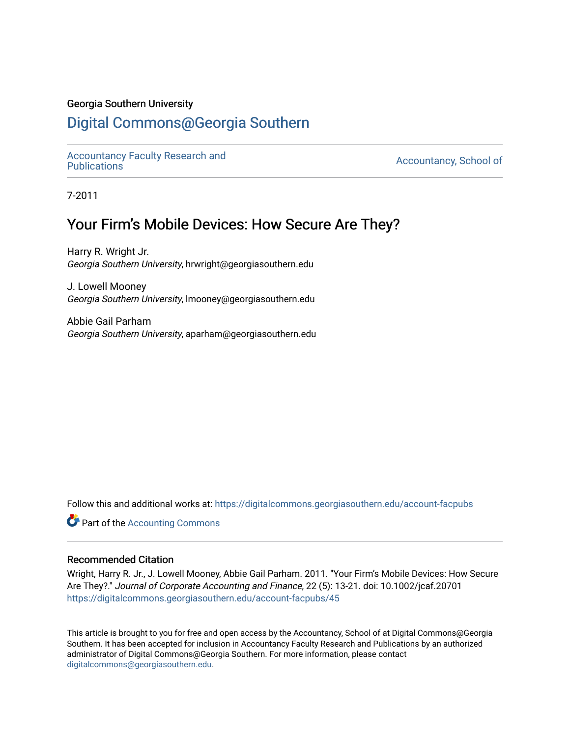#### Georgia Southern University

# [Digital Commons@Georgia Southern](https://digitalcommons.georgiasouthern.edu/)

Accountancy Faculty Research and<br>Publications

Accountancy, School of

7-2011

## Your Firm's Mobile Devices: How Secure Are They?

Harry R. Wright Jr. Georgia Southern University, hrwright@georgiasouthern.edu

J. Lowell Mooney Georgia Southern University, lmooney@georgiasouthern.edu

Abbie Gail Parham Georgia Southern University, aparham@georgiasouthern.edu

Follow this and additional works at: [https://digitalcommons.georgiasouthern.edu/account-facpubs](https://digitalcommons.georgiasouthern.edu/account-facpubs?utm_source=digitalcommons.georgiasouthern.edu%2Faccount-facpubs%2F45&utm_medium=PDF&utm_campaign=PDFCoverPages) 

**Part of the [Accounting Commons](http://network.bepress.com/hgg/discipline/625?utm_source=digitalcommons.georgiasouthern.edu%2Faccount-facpubs%2F45&utm_medium=PDF&utm_campaign=PDFCoverPages)** 

#### Recommended Citation

Wright, Harry R. Jr., J. Lowell Mooney, Abbie Gail Parham. 2011. "Your Firm's Mobile Devices: How Secure Are They?." Journal of Corporate Accounting and Finance, 22 (5): 13-21. doi: 10.1002/jcaf.20701 [https://digitalcommons.georgiasouthern.edu/account-facpubs/45](https://digitalcommons.georgiasouthern.edu/account-facpubs/45?utm_source=digitalcommons.georgiasouthern.edu%2Faccount-facpubs%2F45&utm_medium=PDF&utm_campaign=PDFCoverPages) 

This article is brought to you for free and open access by the Accountancy, School of at Digital Commons@Georgia Southern. It has been accepted for inclusion in Accountancy Faculty Research and Publications by an authorized administrator of Digital Commons@Georgia Southern. For more information, please contact [digitalcommons@georgiasouthern.edu.](mailto:digitalcommons@georgiasouthern.edu)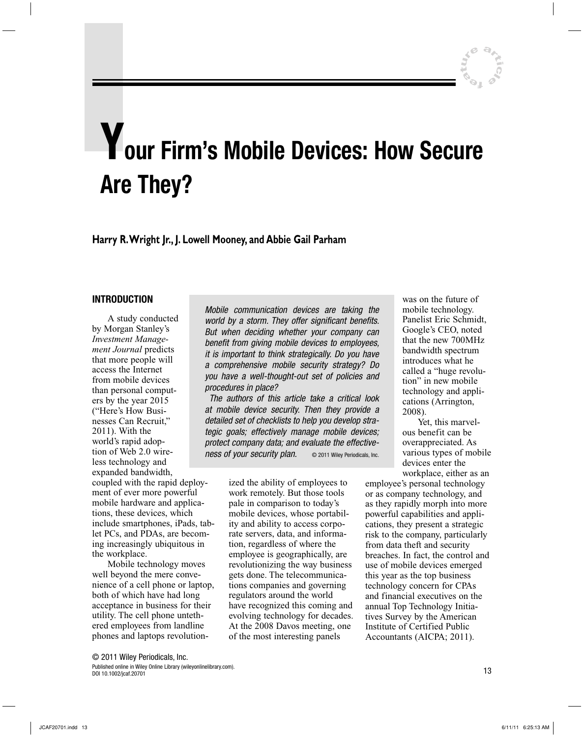# **Your Firm's Mobile Devices: How Secure Are They?**

**Harry R. Wright Jr., J. Lowell Mooney, and Abbie Gail Parham**

#### **INTRODUCTION**

A study conducted by Morgan Stanley's *Investment Management Journal* predicts that more people will access the Internet from mobile devices than personal computers by the year 2015 ("Here's How Businesses Can Recruit," 2011). With the world's rapid adoption of Web 2.0 wireless technology and expanded bandwidth, coupled with the rapid deployment of ever more powerful mobile hardware and applications, these devices, which include smartphones, iPads, tablet PCs, and PDAs, are becoming increasingly ubiquitous in the workplace.

Mobile technology moves well beyond the mere convenience of a cell phone or laptop, both of which have had long acceptance in business for their utility. The cell phone untethered employees from landline phones and laptops revolution-

*Mobile communication devices are taking the world by a storm. They offer significant benefits. But when deciding whether your company can benefit from giving mobile devices to employees, it is important to think strategically. Do you have a comprehensive mobile security strategy? Do you have a well-thought-out set of policies and procedures in place?*

 *The authors of this article take a critical look at mobile device security. Then they provide a detailed set of checklists to help you develop strategic goals; effectively manage mobile devices; protect company data; and evaluate the effectiveness of your security plan.* © 2011 Wiley Periodicals, Inc.

> ized the ability of employees to work remotely. But those tools pale in comparison to today's mobile devices, whose portability and ability to access corporate servers, data, and information, regardless of where the employee is geographically, are revolutionizing the way business gets done. The telecommunications companies and governing regulators around the world have recognized this coming and evolving technology for decades. At the 2008 Davos meeting, one of the most interesting panels

was on the future of mobile technology. Panelist Eric Schmidt, Google's CEO, noted that the new 700MHz bandwidth spectrum introduces what he called a "huge revolution" in new mobile technology and applications (Arrington, 2008).

**e<sup>f</sup> at**

**<sup>u</sup>r<sup>e</sup> <sup>a</sup>rt<sup>i</sup>c<sup>l</sup>e**

Yet, this marvelous benefit can be overappreciated. As various types of mobile devices enter the workplace, either as an

employee's personal technology or as company technology, and as they rapidly morph into more powerful capabilities and applications, they present a strategic risk to the company, particularly from data theft and security breaches. In fact, the control and use of mobile devices emerged this year as the top business technology concern for CPAs and financial executives on the annual Top Technology Initiatives Survey by the American Institute of Certified Public Accountants (AICPA; 2011).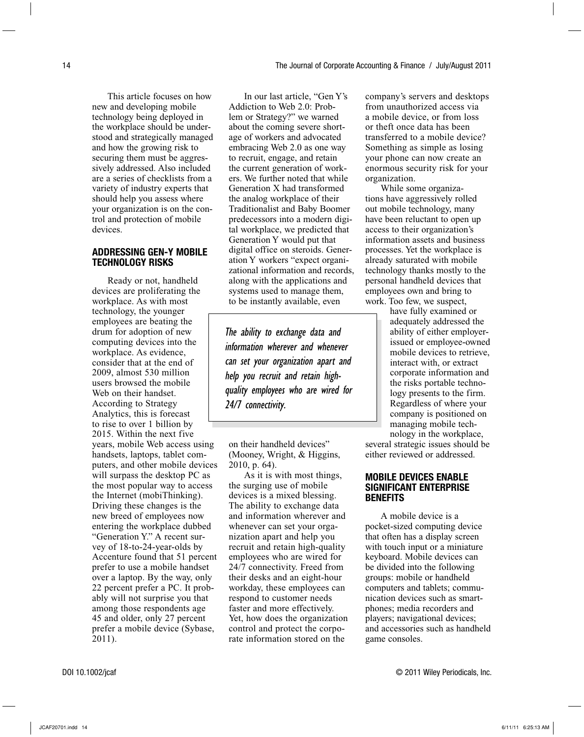This article focuses on how new and developing mobile technology being deployed in the workplace should be understood and strategically managed and how the growing risk to securing them must be aggressively addressed. Also included are a series of checklists from a variety of industry experts that should help you assess where your organization is on the control and protection of mobile devices.

#### **ADDRESSING GEN-Y MOBILE TECHNOLOGY RISKS**

Ready or not, handheld devices are proliferating the workplace. As with most technology, the younger employees are beating the drum for adoption of new computing devices into the workplace. As evidence, consider that at the end of 2009, almost 530 million users browsed the mobile Web on their handset. According to Strategy Analytics, this is forecast to rise to over 1 billion by 2015. Within the next five years, mobile Web access using handsets, laptops, tablet computers, and other mobile devices will surpass the desktop PC as the most popular way to access the Internet (mobiThinking). Driving these changes is the new breed of employees now entering the workplace dubbed "Generation Y." A recent survey of 18-to-24-year-olds by Accenture found that 51 percent prefer to use a mobile handset over a laptop. By the way, only 22 percent prefer a PC. It probably will not surprise you that among those respondents age 45 and older, only 27 percent prefer a mobile device (Sybase, 2011).

In our last article, "Gen Y's Addiction to Web 2.0: Problem or Strategy?" we warned about the coming severe shortage of workers and advocated embracing Web 2.0 as one way to recruit, engage, and retain the current generation of workers. We further noted that while Generation X had transformed the analog workplace of their Traditionalist and Baby Boomer predecessors into a modern digital workplace, we predicted that Generation Y would put that digital office on steroids. Generation Y workers "expect organizational information and records, along with the applications and systems used to manage them, to be instantly available, even

The ability to exchange data and information wherever and whenever can set your organization apart and help you recruit and retain highquality employees who are wired for 24/7 connectivity.

on their handheld devices" (Mooney, Wright, & Higgins, 2010, p. 64).

As it is with most things, the surging use of mobile devices is a mixed blessing. The ability to exchange data and information wherever and whenever can set your organization apart and help you recruit and retain high-quality employees who are wired for 24/7 connectivity. Freed from their desks and an eight-hour workday, these employees can respond to customer needs faster and more effectively. Yet, how does the organization control and protect the corporate information stored on the

company's servers and desktops from unauthorized access via a mobile device, or from loss or theft once data has been transferred to a mobile device? Something as simple as losing your phone can now create an enormous security risk for your organization.

While some organizations have aggressively rolled out mobile technology, many have been reluctant to open up access to their organization's information assets and business processes. Yet the workplace is already saturated with mobile technology thanks mostly to the personal handheld devices that employees own and bring to work. Too few, we suspect,

> have fully examined or adequately addressed the ability of either employerissued or employee-owned mobile devices to retrieve, interact with, or extract corporate information and the risks portable technology presents to the firm. Regardless of where your company is positioned on managing mobile technology in the workplace,

several strategic issues should be either reviewed or addressed.

#### **MOBILE DEVICES ENABLE SIGNIFICANT ENTERPRISE BENEFITS**

A mobile device is a pocket-sized computing device that often has a display screen with touch input or a miniature keyboard. Mobile devices can be divided into the following groups: mobile or handheld computers and tablets; communication devices such as smartphones; media recorders and players; navigational devices; and accessories such as handheld game consoles.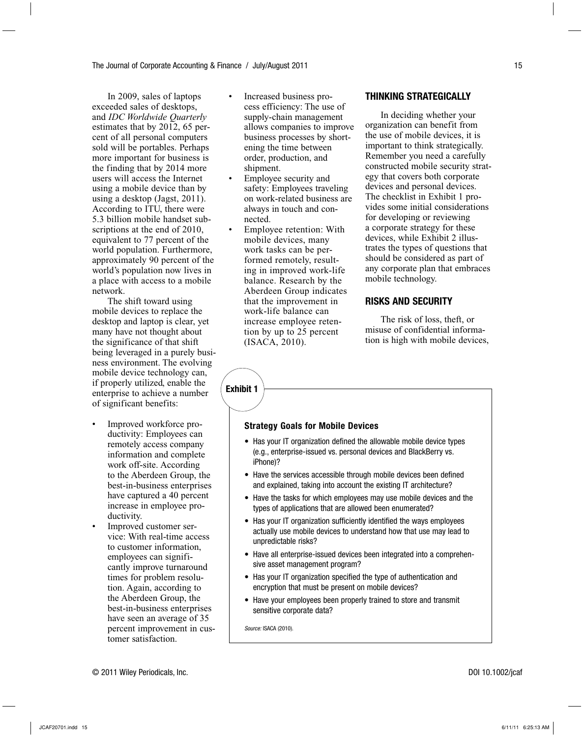In 2009, sales of laptops exceeded sales of desktops, and *IDC Worldwide Quarterly* estimates that by 2012, 65 percent of all personal computers sold will be portables. Perhaps more important for business is the finding that by 2014 more users will access the Internet using a mobile device than by using a desktop (Jagst, 2011). According to ITU, there were 5.3 billion mobile handset subscriptions at the end of 2010, equivalent to 77 percent of the world population. Furthermore, approximately 90 percent of the world's population now lives in a place with access to a mobile network.

The shift toward using mobile devices to replace the desktop and laptop is clear, yet many have not thought about the significance of that shift being leveraged in a purely business environment. The evolving mobile device technology can, if properly utilized, enable the enterprise to achieve a number of significant benefits:

- Improved workforce productivity: Employees can remotely access company information and complete work off-site. According to the Aberdeen Group, the best-in-business enterprises have captured a 40 percent increase in employee productivity.
- Improved customer service: With real-time access to customer information, employees can significantly improve turnaround times for problem resolution. Again, according to the Aberdeen Group, the best-in-business enterprises have seen an average of 35 percent improvement in customer satisfaction.
- Increased business process efficiency: The use of supply-chain management allows companies to improve business processes by shortening the time between order, production, and shipment.
- Employee security and safety: Employees traveling on work-related business are always in touch and connected.
- Employee retention: With mobile devices, many work tasks can be performed remotely, resulting in improved work-life balance. Research by the Aberdeen Group indicates that the improvement in work-life balance can increase employee retention by up to 25 percent (ISACA, 2010).

#### **THINKING STRATEGICALLY**

In deciding whether your organization can benefit from the use of mobile devices, it is important to think strategically. Remember you need a carefully constructed mobile security strategy that covers both corporate devices and personal devices. The checklist in Exhibit 1 provides some initial considerations for developing or reviewing a corporate strategy for these devices, while Exhibit 2 illustrates the types of questions that should be considered as part of any corporate plan that embraces mobile technology.

#### **RISKS AND SECURITY**

The risk of loss, theft, or misuse of confidential information is high with mobile devices,

#### **Exhibit 1**

#### **Strategy Goals for Mobile Devices**

- Has your IT organization defined the allowable mobile device types (e.g., enterprise-issued vs. personal devices and BlackBerry vs. iPhone)?
- Have the services accessible through mobile devices been defined and explained, taking into account the existing IT architecture?
- Have the tasks for which employees may use mobile devices and the types of applications that are allowed been enumerated?
- Has your IT organization sufficiently identified the ways employees actually use mobile devices to understand how that use may lead to unpredictable risks?
- Have all enterprise-issued devices been integrated into a comprehensive asset management program?
- Has your IT organization specified the type of authentication and encryption that must be present on mobile devices?
- Have your employees been properly trained to store and transmit sensitive corporate data?

*Source:* ISACA (2010).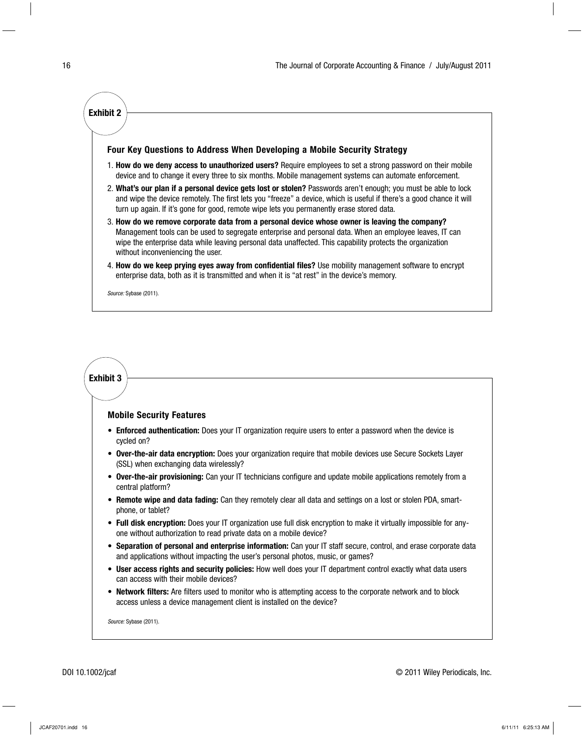#### **Four Key Questions to Address When Developing a Mobile Security Strategy**

- 1. **How do we deny access to unauthorized users?** Require employees to set a strong password on their mobile device and to change it every three to six months. Mobile management systems can automate enforcement.
- 2. **What's our plan if a personal device gets lost or stolen?** Passwords aren't enough; you must be able to lock and wipe the device remotely. The first lets you "freeze" a device, which is useful if there's a good chance it will turn up again. If it's gone for good, remote wipe lets you permanently erase stored data.
- 3. **How do we remove corporate data from a personal device whose owner is leaving the company?** Management tools can be used to segregate enterprise and personal data. When an employee leaves, IT can wipe the enterprise data while leaving personal data unaffected. This capability protects the organization without inconveniencing the user.
- 4. **How do we keep prying eyes away from confidential files?** Use mobility management software to encrypt enterprise data, both as it is transmitted and when it is "at rest" in the device's memory.

*Source:* Sybase (2011).

#### **Exhibit 3**

#### **Mobile Security Features**

- **Enforced authentication:** Does your IT organization require users to enter a password when the device is cycled on?
- **Over-the-air data encryption:** Does your organization require that mobile devices use Secure Sockets Layer (SSL) when exchanging data wirelessly?
- **Over-the-air provisioning:** Can your IT technicians configure and update mobile applications remotely from a central platform?
- **Remote wipe and data fading:** Can they remotely clear all data and settings on a lost or stolen PDA, smartphone, or tablet?
- **Full disk encryption:** Does your IT organization use full disk encryption to make it virtually impossible for anyone without authorization to read private data on a mobile device?
- **Separation of personal and enterprise information:** Can your IT staff secure, control, and erase corporate data and applications without impacting the user's personal photos, music, or games?
- **User access rights and security policies:** How well does your IT department control exactly what data users can access with their mobile devices?
- **Network filters:** Are filters used to monitor who is attempting access to the corporate network and to block access unless a device management client is installed on the device?

*Source:* Sybase (2011).

**Exhibit 2**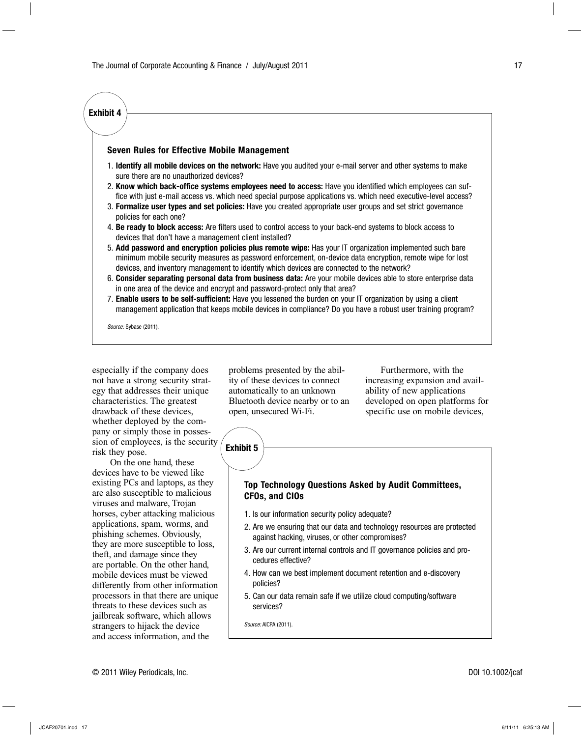# **Exhibit 4**

#### **Seven Rules for Effective Mobile Management**

- 1. **Identify all mobile devices on the network:** Have you audited your e-mail server and other systems to make sure there are no unauthorized devices?
- 2. **Know which back-office systems employees need to access:** Have you identified which employees can suffice with just e-mail access vs. which need special purpose applications vs. which need executive-level access?
- 3. **Formalize user types and set policies:** Have you created appropriate user groups and set strict governance policies for each one?
- 4. **Be ready to block access:** Are filters used to control access to your back-end systems to block access to devices that don't have a management client installed?
- 5. **Add password and encryption policies plus remote wipe:** Has your IT organization implemented such bare minimum mobile security measures as password enforcement, on-device data encryption, remote wipe for lost devices, and inventory management to identify which devices are connected to the network?
- 6. **Consider separating personal data from business data:** Are your mobile devices able to store enterprise data in one area of the device and encrypt and password-protect only that area?
- 7. **Enable users to be self-sufficient:** Have you lessened the burden on your IT organization by using a client management application that keeps mobile devices in compliance? Do you have a robust user training program?

*Source:* Sybase (2011).

especially if the company does not have a strong security strategy that addresses their unique characteristics. The greatest drawback of these devices, whether deployed by the company or simply those in possession of employees, is the security risk they pose.

 On the one hand, these devices have to be viewed like existing PCs and laptops, as they are also susceptible to malicious viruses and malware, Trojan horses, cyber attacking malicious applications, spam, worms, and phishing schemes. Obviously, they are more susceptible to loss, theft, and damage since they are portable. On the other hand, mobile devices must be viewed differently from other information processors in that there are unique threats to these devices such as jailbreak software, which allows strangers to hijack the device and access information, and the

problems presented by the ability of these devices to connect automatically to an unknown Bluetooth device nearby or to an open, unsecured Wi-Fi.

Furthermore, with the increasing expansion and availability of new applications developed on open platforms for specific use on mobile devices,

### **Exhibit 5**

#### **Top Technology Questions Asked by Audit Committees, CFOs, and CIOs**

- 1. Is our information security policy adequate?
- 2. Are we ensuring that our data and technology resources are protected against hacking, viruses, or other compromises?
- 3. Are our current internal controls and IT governance policies and procedures effective?
- 4. How can we best implement document retention and e-discovery policies?
- 5. Can our data remain safe if we utilize cloud computing/software services?

*Source:* AICPA (2011).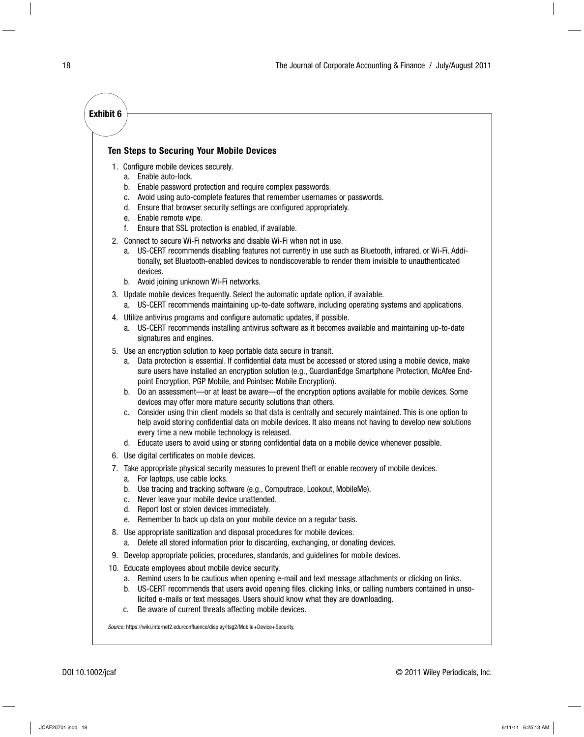#### **Ten Steps to Securing Your Mobile Devices**

- 1. Configure mobile devices securely.
	- a. Enable auto-lock.
	- b. Enable password protection and require complex passwords.
	- c. Avoid using auto-complete features that remember usernames or passwords.
	- d. Ensure that browser security settings are configured appropriately.
	- e. Enable remote wipe.
	- f. Ensure that SSL protection is enabled, if available.
- 2. Connect to secure Wi-Fi networks and disable Wi-Fi when not in use.
	- a. US-CERT recommends disabling features not currently in use such as Bluetooth, infrared, or Wi-Fi. Additionally, set Bluetooth-enabled devices to nondiscoverable to render them invisible to unauthenticated devices.
	- b. Avoid joining unknown Wi-Fi networks.
- 3. Update mobile devices frequently. Select the automatic update option, if available.
	- a. US-CERT recommends maintaining up-to-date software, including operating systems and applications.
- 4. Utilize antivirus programs and configure automatic updates, if possible.
	- a. US-CERT recommends installing antivirus software as it becomes available and maintaining up-to-date signatures and engines.
- 5. Use an encryption solution to keep portable data secure in transit.
	- a. Data protection is essential. If confidential data must be accessed or stored using a mobile device, make sure users have installed an encryption solution (e.g., GuardianEdge Smartphone Protection, McAfee Endpoint Encryption, PGP Mobile, and Pointsec Mobile Encryption).
	- b. Do an assessment—or at least be aware—of the encryption options available for mobile devices. Some devices may offer more mature security solutions than others.
	- c. Consider using thin client models so that data is centrally and securely maintained. This is one option to help avoid storing confidential data on mobile devices. It also means not having to develop new solutions every time a new mobile technology is released.
	- d. Educate users to avoid using or storing confidential data on a mobile device whenever possible.
- 6. Use digital certificates on mobile devices.
- 7. Take appropriate physical security measures to prevent theft or enable recovery of mobile devices.
	- a. For laptops, use cable locks.
	- b. Use tracing and tracking software (e.g., Computrace, Lookout, MobileMe).
	- c. Never leave your mobile device unattended.
	- d. Report lost or stolen devices immediately.
	- e. Remember to back up data on your mobile device on a regular basis.
- 8. Use appropriate sanitization and disposal procedures for mobile devices.
	- a. Delete all stored information prior to discarding, exchanging, or donating devices.
- 9. Develop appropriate policies, procedures, standards, and guidelines for mobile devices.
- 10. Educate employees about mobile device security.
	- a. Remind users to be cautious when opening e-mail and text message attachments or clicking on links.
	- b. US-CERT recommends that users avoid opening files, clicking links, or calling numbers contained in unsolicited e-mails or text messages. Users should know what they are downloading.
	- c. Be aware of current threats affecting mobile devices.

*Source:* https://wiki.internet2.edu/confluence/display/itsg2/Mobile+Device+Security.

**Exhibit 6**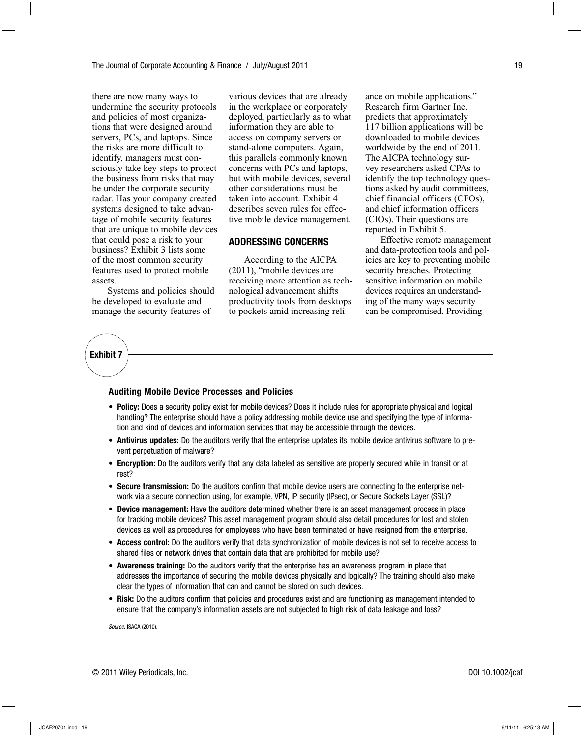there are now many ways to undermine the security protocols and policies of most organizations that were designed around servers, PCs, and laptops. Since the risks are more difficult to identify, managers must consciously take key steps to protect the business from risks that may be under the corporate security radar. Has your company created systems designed to take advantage of mobile security features that are unique to mobile devices that could pose a risk to your business? Exhibit 3 lists some of the most common security features used to protect mobile assets.

Systems and policies should be developed to evaluate and manage the security features of

various devices that are already in the workplace or corporately deployed, particularly as to what information they are able to access on company servers or stand-alone computers. Again, this parallels commonly known concerns with PCs and laptops, but with mobile devices, several other considerations must be taken into account. Exhibit 4 describes seven rules for effective mobile device management.

#### **ADDRESSING CONCERNS**

According to the AICPA (2011), "mobile devices are receiving more attention as technological advancement shifts productivity tools from desktops to pockets amid increasing reliance on mobile applications." Research firm Gartner Inc. predicts that approximately 117 billion applications will be downloaded to mobile devices worldwide by the end of 2011. The AICPA technology survey researchers asked CPAs to identify the top technology questions asked by audit committees, chief financial officers (CFOs), and chief information officers (CIOs). Their questions are reported in Exhibit 5.

Effective remote management and data-protection tools and policies are key to preventing mobile security breaches. Protecting sensitive information on mobile devices requires an understanding of the many ways security can be compromised. Providing

#### **Exhibit 7**

#### **Auditing Mobile Device Processes and Policies**

- **Policy:** Does a security policy exist for mobile devices? Does it include rules for appropriate physical and logical handling? The enterprise should have a policy addressing mobile device use and specifying the type of information and kind of devices and information services that may be accessible through the devices.
- **Antivirus updates:** Do the auditors verify that the enterprise updates its mobile device antivirus software to prevent perpetuation of malware?
- **Encryption:** Do the auditors verify that any data labeled as sensitive are properly secured while in transit or at rest?
- **Secure transmission:** Do the auditors confirm that mobile device users are connecting to the enterprise network via a secure connection using, for example, VPN, IP security (IPsec), or Secure Sockets Layer (SSL)?
- **Device management:** Have the auditors determined whether there is an asset management process in place for tracking mobile devices? This asset management program should also detail procedures for lost and stolen devices as well as procedures for employees who have been terminated or have resigned from the enterprise.
- **Access control:** Do the auditors verify that data synchronization of mobile devices is not set to receive access to shared files or network drives that contain data that are prohibited for mobile use?
- **Awareness training:** Do the auditors verify that the enterprise has an awareness program in place that addresses the importance of securing the mobile devices physically and logically? The training should also make clear the types of information that can and cannot be stored on such devices.
- **Risk:** Do the auditors confirm that policies and procedures exist and are functioning as management intended to ensure that the company's information assets are not subjected to high risk of data leakage and loss?

*Source:* ISACA (2010).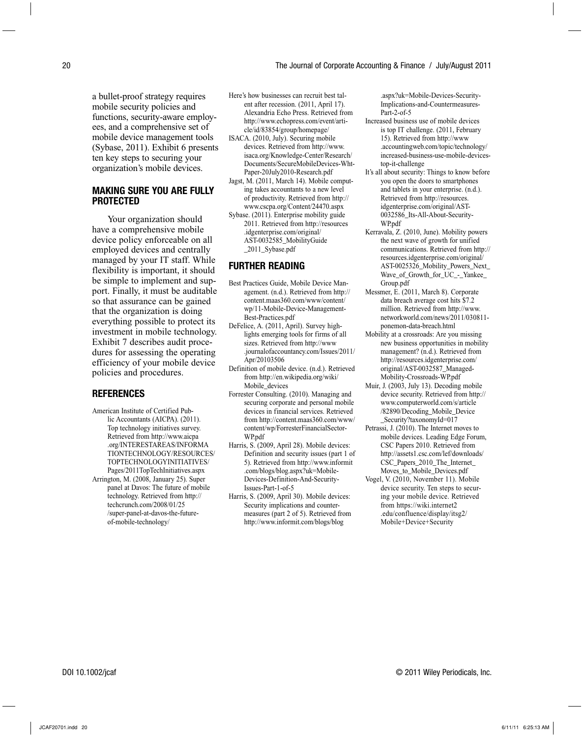a bullet-proof strategy requires mobile security policies and functions, security-aware employees, and a comprehensive set of mobile device management tools (Sy base, 2011). Exhibit 6 presents ten key steps to securing your organization's mobile devices.

#### **MAKING SURE YOU ARE FULLY PROTECTED**

Your organization should have a comprehensive mobile device policy enforceable on all employed devices and centrally managed by your IT staff. While flexibility is important, it should be simple to implement and support. Finally, it must be auditable so that assurance can be gained that the organization is doing everything possible to protect its investment in mobile technology. Exhibit 7 describes audit procedures for assessing the operating efficiency of your mobile device policies and procedures.

#### **REFERENCES**

American Institute of Certified Public Accountants (AICPA). (2011). Top technology initiatives survey. Retrieved from http://www.aicpa .org/INTERESTAREAS/INFORMA TIONTECHNOLOGY/RESOURCES/ TOPTECHNOLOGYINITIATIVES/ Pages/2011TopTechInitiatives.aspx Arrington, M. (2008, January 25). Super panel at Davos: The future of mobile technology. Retrieved from http:// techcrunch.com/2008/01/25 /super-panel-at-davos-the-future-

of-mobile-technology/

- Here's how businesses can recruit best talent after recession. (2011, April 17). Alexandria Echo Press. Retrieved from http://www.echopress.com/event/article/id/83854/group/homepage/
- ISACA. (2010, July). Securing mobile devices. Retrieved from http://www. isaca.org/Knowledge-Center/Research/ Documents/SecureMobileDevices-Wht-Paper-20July2010-Research.pdf
- Jagst, M. (2011, March 14). Mobile computing takes accountants to a new level of productivity. Retrieved from http:// www.cscpa.org/Content/24470.aspx
- Sybase. (2011). Enterprise mobility guide 2011. Retrieved from http://resources .idgenterprise.com/original/ AST-0032585\_MobilityGuide \_2011\_Sybase.pdf

#### **FURTHER READING**

- Best Practices Guide, Mobile Device Management. (n.d.). Retrieved from http:// content.maas360.com/www/content/ wp/11-Mobile-Device-Management-Best-Practices.pdf
- DeFelice, A. (2011, April). Survey highlights emerging tools for firms of all sizes. Retrieved from http://www .journalofaccountancy.com/Issues/2011/ Apr/20103506
- Definition of mobile device. (n.d.). Retrieved from http://en.wikipedia.org/wiki/ Mobile\_devices
- Forrester Consulting. (2010). Managing and securing corporate and personal mobile devices in financial services. Retrieved from http://content.maas360.com/www/ content/wp/ForresterFinancialSector-WP.pdf
- Harris, S. (2009, April 28). Mobile devices: Definition and security issues (part 1 of 5). Retrieved from http://www.informit .com/blogs/blog.aspx?uk=Mobile-Devices-Definition-And-Security-Issues-Part-1-of-5
- Harris, S. (2009, April 30). Mobile devices: Security implications and countermeasures (part 2 of 5). Retrieved from http://www.informit.com/blogs/blog

.aspx?uk=Mobile-Devices-Security-Implications-and-Countermeasures-Part-2-of-5

- Increased business use of mobile devices is top IT challenge. (2011, February 15). Retrieved from http://www .accountingweb.com/topic/technology/ increased-business-use-mobile-devicestop-it-challenge
- It's all about security: Things to know before you open the doors to smartphones and tablets in your enterprise. (n.d.). Retrieved from http://resources. idgenterprise.com/original/AST-0032586\_Its-All-About-Security-WP.pdf
- Kerravala, Z. (2010, June). Mobility powers the next wave of growth for unified communications. Retrieved from http:// resources.idgenterprise.com/original/ AST-0025326\_Mobility\_Powers\_Next\_ Wave\_of\_Growth\_for\_UC\_-\_Yankee\_ Group.pdf
- Messmer, E. (2011, March 8). Corporate data breach average cost hits \$7.2 million. Retrieved from http://www. networkworld.com/news/2011/030811 ponemon-data-breach.html
- Mobility at a crossroads: Are you missing new business opportunities in mobility management? (n.d.). Retrieved from http://resources.idgenterprise.com/ original/AST-0032587\_Managed-Mobility-Crossroads-WP.pdf
- Muir, J. (2003, July 13). Decoding mobile device security. Retrieved from http:// www.computerworld.com/s/article /82890/Decoding\_Mobile\_Device \_Security?taxonomyId=017
- Petrassi, J. (2010). The Internet moves to mobile devices. Leading Edge Forum, CSC Papers 2010. Retrieved from http://assets1.csc.com/lef/downloads/ CSC\_Papers\_2010\_The\_Internet\_ Moves\_to\_Mobile\_Devices.pdf
- Vogel, V. (2010, November 11). Mobile device security. Ten steps to securing your mobile device. Retrieved from https://wiki.internet2 .edu/confluence/display/itsg2/ Mobile+Device+Security